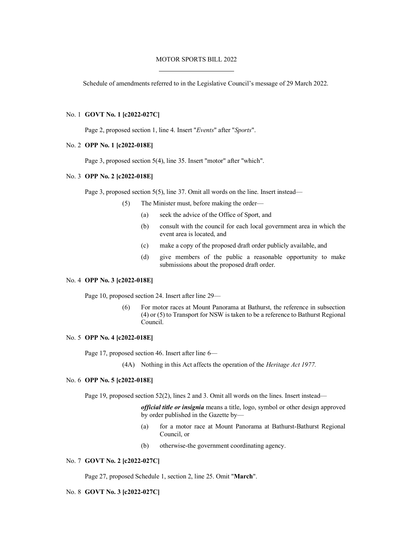## MOTOR SPORTS BILL 2022

Schedule of amendments referred to in the Legislative Council's message of 29 March 2022.

### No. 1 **GOVT No. 1 [c2022-027C]**

Page 2, proposed section 1, line 4. Insert "*Events*" after "*Sports*".

#### No. 2 **OPP No. 1 [c2022-018E]**

Page 3, proposed section 5(4), line 35. Insert "motor" after "which".

### No. 3 **OPP No. 2 [c2022-018E]**

Page 3, proposed section 5(5), line 37. Omit all words on the line. Insert instead—

- (5) The Minister must, before making the order—
	- (a) seek the advice of the Office of Sport, and
	- (b) consult with the council for each local government area in which the event area is located, and
	- (c) make a copy of the proposed draft order publicly available, and
	- (d) give members of the public a reasonable opportunity to make submissions about the proposed draft order.

## No. 4 **OPP No. 3 [c2022-018E]**

Page 10, proposed section 24. Insert after line 29—

(6) For motor races at Mount Panorama at Bathurst, the reference in subsection (4) or (5) to Transport for NSW is taken to be a reference to Bathurst Regional Council.

## No. 5 **OPP No. 4 [c2022-018E]**

Page 17, proposed section 46. Insert after line 6—

(4A) Nothing in this Act affects the operation of the *Heritage Act 1977.*

### No. 6 **OPP No. 5 [c2022-018E]**

Page 19, proposed section 52(2), lines 2 and 3. Omit all words on the lines. Insert instead—

*official title or insignia* means a title, logo, symbol or other design approved by order published in the Gazette by—

- (a) for a motor race at Mount Panorama at Bathurst-Bathurst Regional Council, or
- (b) otherwise-the government coordinating agency.

## No. 7 **GOVT No. 2 [c2022-027C]**

Page 27, proposed Schedule 1, section 2, line 25. Omit "**March**".

### No. 8 **GOVT No. 3 [c2022-027C]**